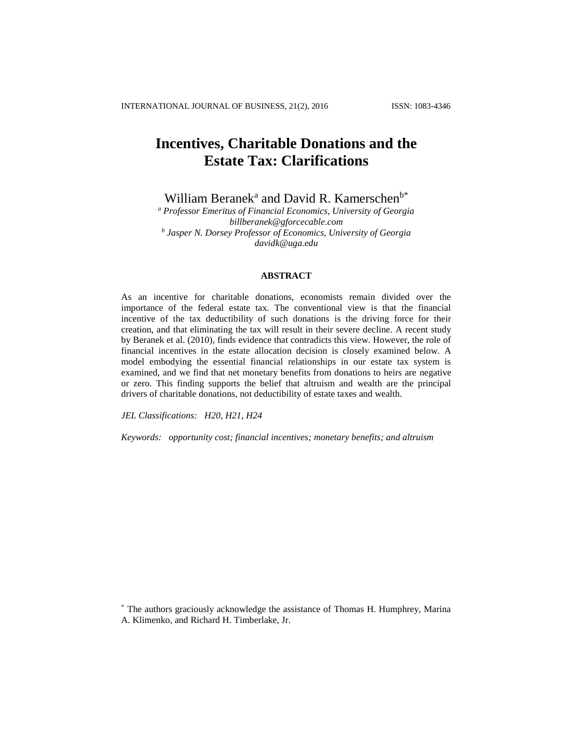# **Incentives, Charitable Donations and the Estate Tax: Clarifications**

William Beranek<sup>a</sup> and David R. Kamerschen<sup>b\*</sup>

*<sup>a</sup> Professor Emeritus of Financial Economics, University of Georgia billberanek@gforcecable.com b Jasper N. Dorsey Professor of Economics, University of Georgia davidk@uga.edu*

## **ABSTRACT**

As an incentive for charitable donations, economists remain divided over the importance of the federal estate tax. The conventional view is that the financial incentive of the tax deductibility of such donations is the driving force for their creation, and that eliminating the tax will result in their severe decline. A recent study by Beranek et al. (2010), finds evidence that contradicts this view. However, the role of financial incentives in the estate allocation decision is closely examined below. A model embodying the essential financial relationships in our estate tax system is examined, and we find that net monetary benefits from donations to heirs are negative or zero. This finding supports the belief that altruism and wealth are the principal drivers of charitable donations, not deductibility of estate taxes and wealth.

*JEL Classifications: H20, H21, H24*

*Keywords: opportunity cost; financial incentives; monetary benefits; and altruism*

\* The authors graciously acknowledge the assistance of Thomas H. Humphrey, Marina A. Klimenko, and Richard H. Timberlake, Jr.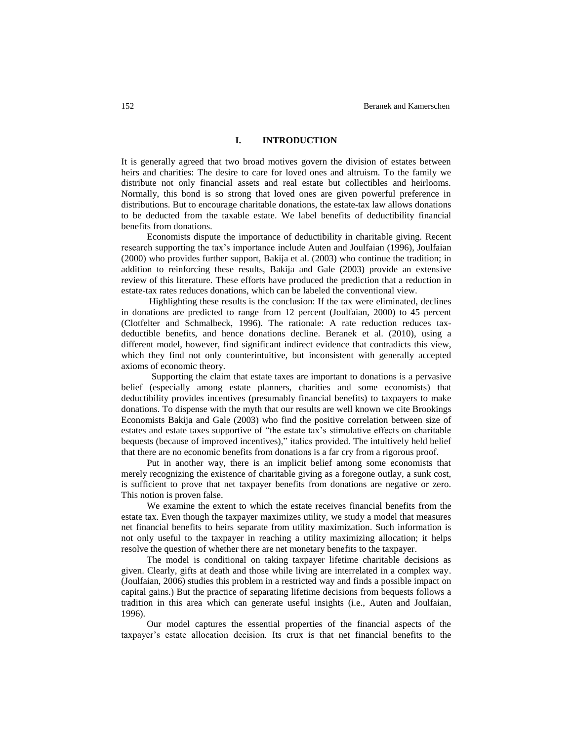# **I. INTRODUCTION**

It is generally agreed that two broad motives govern the division of estates between heirs and charities: The desire to care for loved ones and altruism. To the family we distribute not only financial assets and real estate but collectibles and heirlooms. Normally, this bond is so strong that loved ones are given powerful preference in distributions. But to encourage charitable donations, the estate-tax law allows donations to be deducted from the taxable estate. We label benefits of deductibility financial benefits from donations.

Economists dispute the importance of deductibility in charitable giving. Recent research supporting the tax's importance include Auten and Joulfaian (1996), Joulfaian (2000) who provides further support, Bakija et al. (2003) who continue the tradition; in addition to reinforcing these results, Bakija and Gale (2003) provide an extensive review of this literature. These efforts have produced the prediction that a reduction in estate-tax rates reduces donations, which can be labeled the conventional view.

Highlighting these results is the conclusion: If the tax were eliminated, declines in donations are predicted to range from 12 percent (Joulfaian, 2000) to 45 percent (Clotfelter and Schmalbeck, 1996). The rationale: A rate reduction reduces taxdeductible benefits, and hence donations decline. Beranek et al. (2010), using a different model, however, find significant indirect evidence that contradicts this view, which they find not only counterintuitive, but inconsistent with generally accepted axioms of economic theory.

Supporting the claim that estate taxes are important to donations is a pervasive belief (especially among estate planners, charities and some economists) that deductibility provides incentives (presumably financial benefits) to taxpayers to make donations. To dispense with the myth that our results are well known we cite Brookings Economists Bakija and Gale (2003) who find the positive correlation between size of estates and estate taxes supportive of "the estate tax's stimulative effects on charitable bequests (because of improved incentives)," italics provided. The intuitively held belief that there are no economic benefits from donations is a far cry from a rigorous proof.

Put in another way, there is an implicit belief among some economists that merely recognizing the existence of charitable giving as a foregone outlay, a sunk cost, is sufficient to prove that net taxpayer benefits from donations are negative or zero. This notion is proven false.

We examine the extent to which the estate receives financial benefits from the estate tax. Even though the taxpayer maximizes utility, we study a model that measures net financial benefits to heirs separate from utility maximization. Such information is not only useful to the taxpayer in reaching a utility maximizing allocation; it helps resolve the question of whether there are net monetary benefits to the taxpayer.

The model is conditional on taking taxpayer lifetime charitable decisions as given. Clearly, gifts at death and those while living are interrelated in a complex way. (Joulfaian, 2006) studies this problem in a restricted way and finds a possible impact on capital gains.) But the practice of separating lifetime decisions from bequests follows a tradition in this area which can generate useful insights (i.e., Auten and Joulfaian, 1996).

Our model captures the essential properties of the financial aspects of the taxpayer's estate allocation decision. Its crux is that net financial benefits to the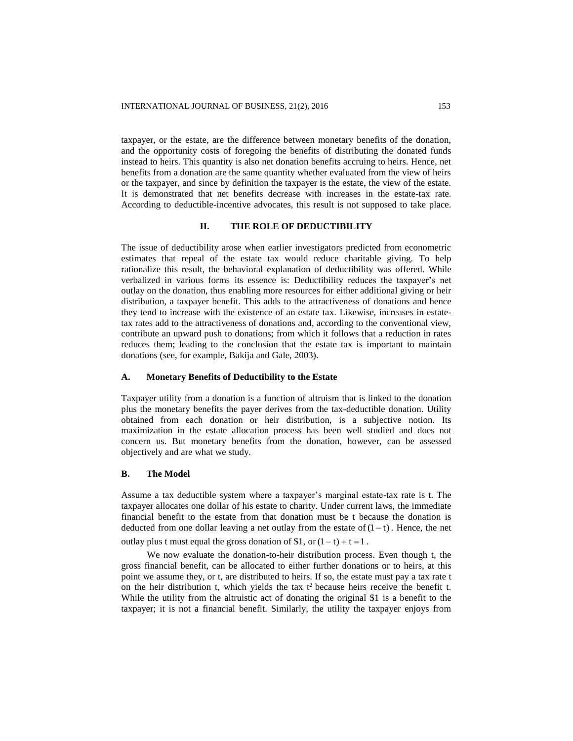taxpayer, or the estate, are the difference between monetary benefits of the donation, and the opportunity costs of foregoing the benefits of distributing the donated funds instead to heirs. This quantity is also net donation benefits accruing to heirs. Hence, net benefits from a donation are the same quantity whether evaluated from the view of heirs or the taxpayer, and since by definition the taxpayer is the estate, the view of the estate. It is demonstrated that net benefits decrease with increases in the estate-tax rate. According to deductible-incentive advocates, this result is not supposed to take place.

# **II. THE ROLE OF DEDUCTIBILITY**

The issue of deductibility arose when earlier investigators predicted from econometric estimates that repeal of the estate tax would reduce charitable giving. To help rationalize this result, the behavioral explanation of deductibility was offered. While verbalized in various forms its essence is: Deductibility reduces the taxpayer's net outlay on the donation, thus enabling more resources for either additional giving or heir distribution, a taxpayer benefit. This adds to the attractiveness of donations and hence they tend to increase with the existence of an estate tax. Likewise, increases in estatetax rates add to the attractiveness of donations and, according to the conventional view, contribute an upward push to donations; from which it follows that a reduction in rates reduces them; leading to the conclusion that the estate tax is important to maintain donations (see, for example, Bakija and Gale, 2003).

## **A. Monetary Benefits of Deductibility to the Estate**

Taxpayer utility from a donation is a function of altruism that is linked to the donation plus the monetary benefits the payer derives from the tax-deductible donation. Utility obtained from each donation or heir distribution, is a subjective notion. Its maximization in the estate allocation process has been well studied and does not concern us. But monetary benefits from the donation, however, can be assessed objectively and are what we study.

# **B. The Model**

Assume a tax deductible system where a taxpayer's marginal estate-tax rate is t. The taxpayer allocates one dollar of his estate to charity. Under current laws, the immediate financial benefit to the estate from that donation must be t because the donation is deducted from one dollar leaving a net outlay from the estate of  $(1-t)$ . Hence, the net

outlay plus t must equal the gross donation of \$1, or  $(1-t) + t = 1$ .

We now evaluate the donation-to-heir distribution process. Even though t, the gross financial benefit, can be allocated to either further donations or to heirs, at this point we assume they, or t, are distributed to heirs. If so, the estate must pay a tax rate t on the heir distribution t, which yields the tax  $t^2$  because heirs receive the benefit t. While the utility from the altruistic act of donating the original \$1 is a benefit to the taxpayer; it is not a financial benefit. Similarly, the utility the taxpayer enjoys from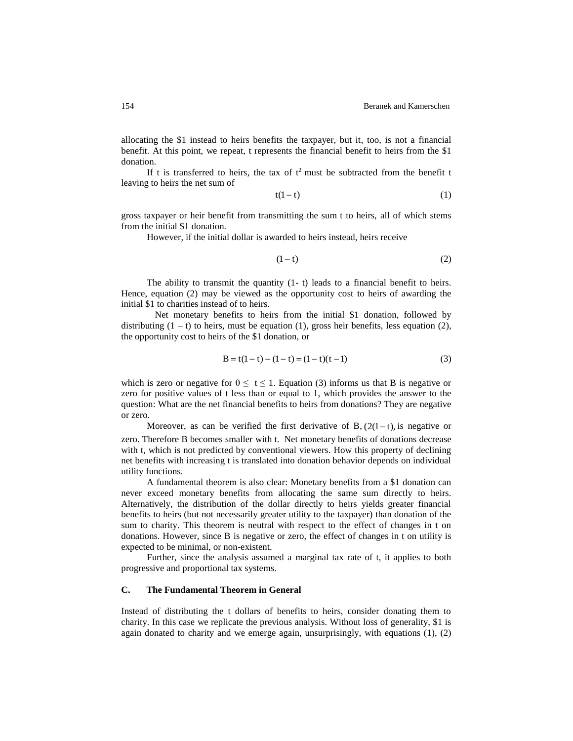allocating the \$1 instead to heirs benefits the taxpayer, but it, too, is not a financial benefit. At this point, we repeat, t represents the financial benefit to heirs from the \$1 donation.

If t is transferred to heirs, the tax of  $t^2$  must be subtracted from the benefit t leaving to heirs the net sum of

$$
t(1-t) \tag{1}
$$

gross taxpayer or heir benefit from transmitting the sum t to heirs, all of which stems from the initial \$1 donation.

However, if the initial dollar is awarded to heirs instead, heirs receive

$$
(1-t) \tag{2}
$$

The ability to transmit the quantity  $(1 - t)$  leads to a financial benefit to heirs. Hence, equation (2) may be viewed as the opportunity cost to heirs of awarding the initial \$1 to charities instead of to heirs.

Net monetary benefits to heirs from the initial \$1 donation, followed by distributing  $(1 - t)$  to heirs, must be equation (1), gross heir benefits, less equation (2), the opportunity cost to heirs of the \$1 donation, or

$$
B = t(1-t) - (1-t) = (1-t)(t-1)
$$
\n(3)

which is zero or negative for  $0 \le t \le 1$ . Equation (3) informs us that B is negative or zero for positive values of t less than or equal to 1, which provides the answer to the question: What are the net financial benefits to heirs from donations? They are negative or zero.

Moreover, as can be verified the first derivative of  $B$ ,  $(2(1-t))$ , is negative or zero. Therefore B becomes smaller with t. Net monetary benefits of donations decrease with t, which is not predicted by conventional viewers. How this property of declining net benefits with increasing t is translated into donation behavior depends on individual utility functions.

A fundamental theorem is also clear: Monetary benefits from a \$1 donation can never exceed monetary benefits from allocating the same sum directly to heirs. Alternatively, the distribution of the dollar directly to heirs yields greater financial benefits to heirs (but not necessarily greater utility to the taxpayer) than donation of the sum to charity. This theorem is neutral with respect to the effect of changes in t on donations. However, since B is negative or zero, the effect of changes in t on utility is expected to be minimal, or non-existent.

Further, since the analysis assumed a marginal tax rate of t, it applies to both progressive and proportional tax systems.

#### **C. The Fundamental Theorem in General**

Instead of distributing the t dollars of benefits to heirs, consider donating them to charity. In this case we replicate the previous analysis. Without loss of generality, \$1 is again donated to charity and we emerge again, unsurprisingly, with equations (1), (2)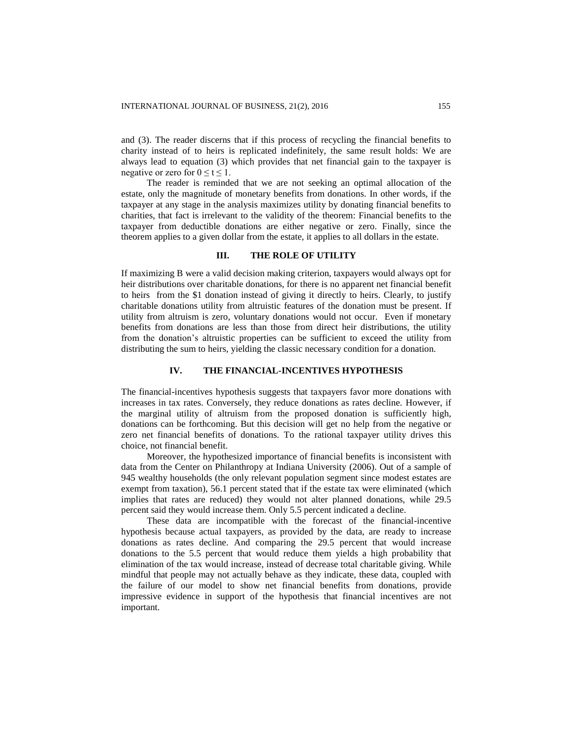and (3). The reader discerns that if this process of recycling the financial benefits to charity instead of to heirs is replicated indefinitely, the same result holds: We are always lead to equation (3) which provides that net financial gain to the taxpayer is negative or zero for  $0 \le t \le 1$ .

The reader is reminded that we are not seeking an optimal allocation of the estate, only the magnitude of monetary benefits from donations. In other words, if the taxpayer at any stage in the analysis maximizes utility by donating financial benefits to charities, that fact is irrelevant to the validity of the theorem: Financial benefits to the taxpayer from deductible donations are either negative or zero. Finally, since the theorem applies to a given dollar from the estate, it applies to all dollars in the estate.

# **III. THE ROLE OF UTILITY**

If maximizing B were a valid decision making criterion, taxpayers would always opt for heir distributions over charitable donations, for there is no apparent net financial benefit to heirs from the \$1 donation instead of giving it directly to heirs. Clearly, to justify charitable donations utility from altruistic features of the donation must be present. If utility from altruism is zero, voluntary donations would not occur. Even if monetary benefits from donations are less than those from direct heir distributions, the utility from the donation's altruistic properties can be sufficient to exceed the utility from distributing the sum to heirs, yielding the classic necessary condition for a donation.

# **IV. THE FINANCIAL-INCENTIVES HYPOTHESIS**

The financial-incentives hypothesis suggests that taxpayers favor more donations with increases in tax rates. Conversely, they reduce donations as rates decline. However, if the marginal utility of altruism from the proposed donation is sufficiently high, donations can be forthcoming. But this decision will get no help from the negative or zero net financial benefits of donations. To the rational taxpayer utility drives this choice, not financial benefit.

Moreover, the hypothesized importance of financial benefits is inconsistent with data from the Center on Philanthropy at Indiana University (2006). Out of a sample of 945 wealthy households (the only relevant population segment since modest estates are exempt from taxation), 56.1 percent stated that if the estate tax were eliminated (which implies that rates are reduced) they would not alter planned donations, while 29.5 percent said they would increase them. Only 5.5 percent indicated a decline.

These data are incompatible with the forecast of the financial-incentive hypothesis because actual taxpayers, as provided by the data, are ready to increase donations as rates decline. And comparing the 29.5 percent that would increase donations to the 5.5 percent that would reduce them yields a high probability that elimination of the tax would increase, instead of decrease total charitable giving. While mindful that people may not actually behave as they indicate, these data, coupled with the failure of our model to show net financial benefits from donations, provide impressive evidence in support of the hypothesis that financial incentives are not important.